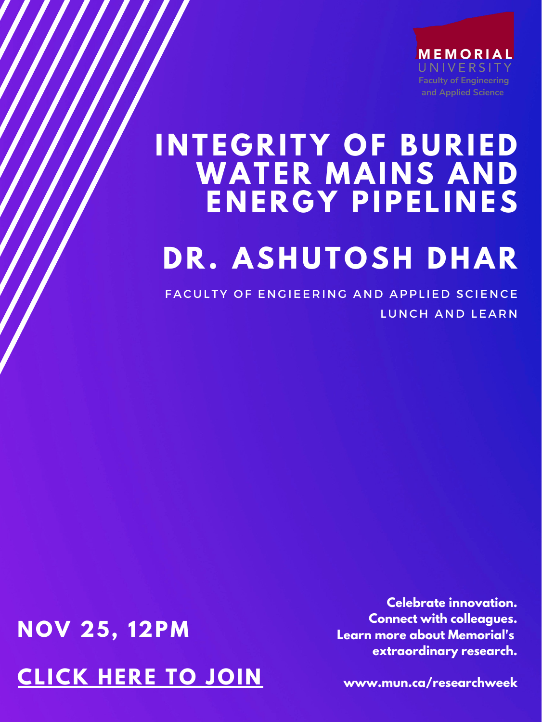MEMORIAL UNIVERSITY **Faculty of Engineering and Applied Science**

## **I N TE G RITY OF BURIED WATER MAI N S A N D E N ER G Y PIPELI N ES DR. ASHUTOSH DHAR**

FACULTY OF ENGIEERING AND APPLIED SCIENCE LUNCH AND LEARN

## **NOV 25, 12PM [CLICK](https://mun.webex.com/mun/j.php?MTID=m63e5658059abe9cd3f09e95abe778fc4) HERE TO JOIN**

**Celebrate innovation. Connect with colleagues. Learn more about Memorial's extraordinary research.**

**www.mun.ca/researchweek**